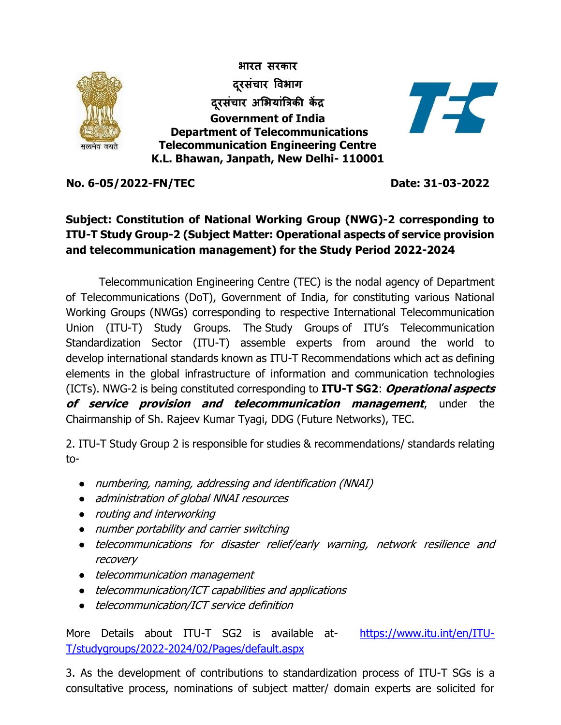

**No. 6-05/2022-FN/TEC Date: 31-03-2022**

## **Subject: Constitution of National Working Group (NWG)-2 corresponding to ITU-T Study Group-2 (Subject Matter: Operational aspects of service provision and telecommunication management) for the Study Period 2022-2024**

Telecommunication Engineering Centre (TEC) is the nodal agency of Department of Telecommunications (DoT), Government of India, for constituting various National Working Groups (NWGs) corresponding to respective International Telecommunication Union (ITU-T) Study Groups. The [Study Groups](https://www.itu.int/en/ITU-T/studygroups/2009-2012/Pages/default.aspx) of ITU's Telecommunication Standardization Sector (ITU-T) assemble experts from around the world to develop international standards known as [ITU-T Recommendations](https://www.itu.int/en/ITU-T/publications/Pages/recs.aspx) which act as defining elements in the global infrastructure of information and communication technologies (ICTs). NWG-2 is being constituted corresponding to **ITU-T SG2**: **Operational aspects of service provision and telecommunication management**, under the Chairmanship of Sh. Rajeev Kumar Tyagi, DDG (Future Networks), TEC.

2. ITU-T Study Group 2 is responsible for studies & recommendations/ standards relating to-

- numbering, naming, addressing and identification (NNAI)
- administration of global NNAI resources
- routing and interworking
- number portability and carrier switching
- telecommunications for disaster relief/early warning, network resilience and recovery
- telecommunication management
- telecommunication/ICT capabilities and applications
- telecommunication/ICT service definition

More Details about ITU-T SG2 is available at [https://www.itu.int/en/ITU-](https://www.itu.int/en/ITU-T/studygroups/2022-2024/02/Pages/default.aspx)[T/studygroups/2022-2024/02/Pages/default.aspx](https://www.itu.int/en/ITU-T/studygroups/2022-2024/02/Pages/default.aspx)

3. As the development of contributions to standardization process of ITU-T SGs is a consultative process, nominations of subject matter/ domain experts are solicited for